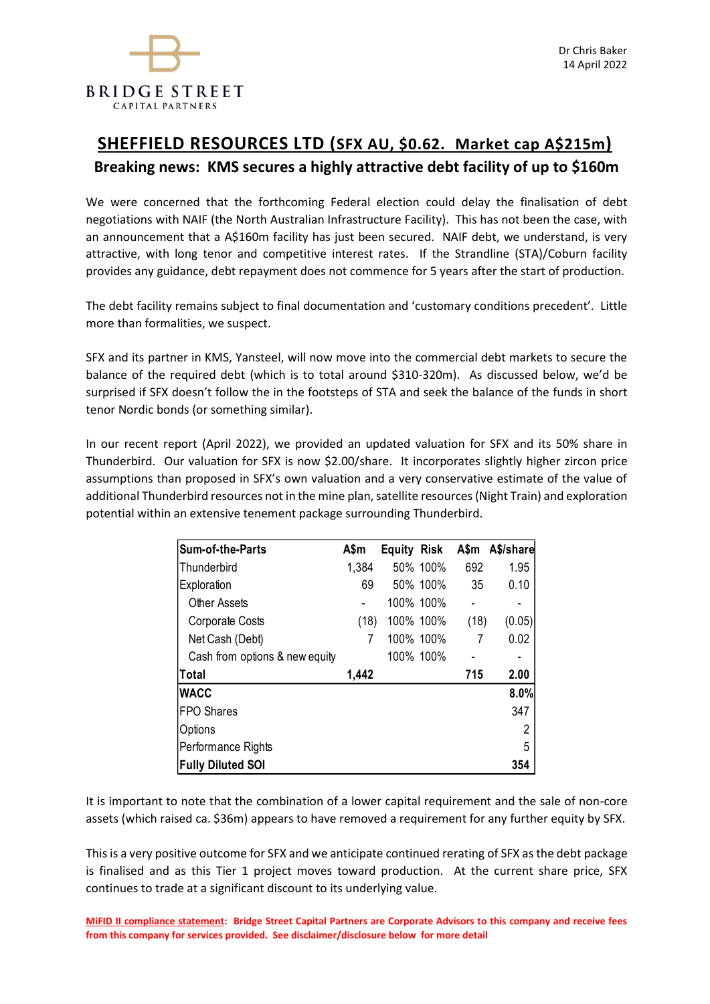

# **SHEFFIELD RESOURCES LTD (SFX AU, \$0.62. Market cap A\$215m) Breaking news: KMS secures a highly attractive debt facility of up to \$160m**

We were concerned that the forthcoming Federal election could delay the finalisation of debt negotiations with NAIF (the North Australian Infrastructure Facility). This has not been the case, with an announcement that a A\$160m facility has just been secured. NAIF debt, we understand, is very attractive, with long tenor and competitive interest rates. If the Strandline (STA)/Coburn facility provides any guidance, debt repayment does not commence for 5 years after the start of production.

The debt facility remains subject to final documentation and 'customary conditions precedent'. Little more than formalities, we suspect.

SFX and its partner in KMS, Yansteel, will now move into the commercial debt markets to secure the balance of the required debt (which is to total around \$310-320m). As discussed below, we'd be surprised if SFX doesn't follow the in the footsteps of STA and seek the balance of the funds in short tenor Nordic bonds (or something similar).

In our recent report (April 2022), we provided an updated valuation for SFX and its 50% share in Thunderbird. Our valuation for SFX is now \$2.00/share. It incorporates slightly higher zircon price assumptions than proposed in SFX's own valuation and a very conservative estimate of the value of additional Thunderbird resources not in the mine plan, satellite resources (Night Train) and exploration potential within an extensive tenement package surrounding Thunderbird.

| Sum-of-the-Parts               | A\$m  | Equity | <b>Risk</b> | A\$m | A\$/share |
|--------------------------------|-------|--------|-------------|------|-----------|
| Thunderbird                    | 1,384 |        | 50% 100%    | 692  | 1.95      |
| Exploration                    | 69    |        | 50% 100%    | 35   | 0.10      |
| <b>Other Assets</b>            |       |        | 100% 100%   |      |           |
| Corporate Costs                | (18)  |        | 100% 100%   | (18) | (0.05)    |
| Net Cash (Debt)                | 7     |        | 100% 100%   | 7    | 0.02      |
| Cash from options & new equity |       |        | 100% 100%   |      |           |
| Total                          | 1,442 |        |             | 715  | 2.00      |
| <b>WACC</b>                    |       |        |             |      | 8.0%      |
| <b>FPO Shares</b>              |       |        |             |      | 347       |
| Options                        |       |        |             |      | 2         |
| Performance Rights             |       |        |             |      | 5         |
| <b>Fully Diluted SOI</b>       |       |        |             |      | 354       |

It is important to note that the combination of a lower capital requirement and the sale of non-core assets (which raised ca. \$36m) appears to have removed a requirement for any further equity by SFX.

This is a very positive outcome for SFX and we anticipate continued rerating of SFX as the debt package is finalised and as this Tier 1 project moves toward production. At the current share price, SFX continues to trade at a significant discount to its underlying value.

**MiFID II compliance statement: Bridge Street Capital Partners are Corporate Advisors to this company and receive fees from this company for services provided. See disclaimer/disclosure below for more detail**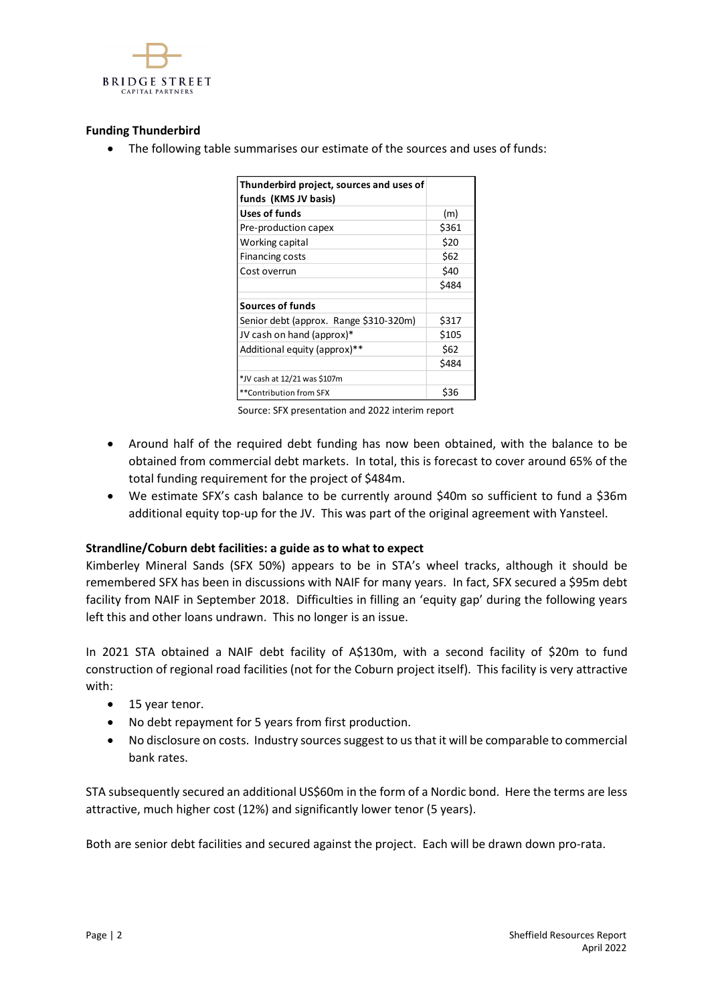

# **Funding Thunderbird**

• The following table summarises our estimate of the sources and uses of funds:

| Thunderbird project, sources and uses of |       |
|------------------------------------------|-------|
| funds (KMS JV basis)                     |       |
| Uses of funds                            | (m)   |
| Pre-production capex                     | \$361 |
| Working capital                          | \$20  |
| <b>Financing costs</b>                   | \$62  |
| Cost overrun                             | \$40  |
|                                          | \$484 |
| <b>Sources of funds</b>                  |       |
| Senior debt (approx. Range \$310-320m)   | \$317 |
| JV cash on hand (approx)*                | \$105 |
| Additional equity (approx)**             | \$62  |
|                                          | \$484 |
| *JV cash at 12/21 was \$107m             |       |
| **Contribution from SFX                  | \$36  |

Source: SFX presentation and 2022 interim report

- Around half of the required debt funding has now been obtained, with the balance to be obtained from commercial debt markets. In total, this is forecast to cover around 65% of the total funding requirement for the project of \$484m.
- We estimate SFX's cash balance to be currently around \$40m so sufficient to fund a \$36m additional equity top-up for the JV. This was part of the original agreement with Yansteel.

## **Strandline/Coburn debt facilities: a guide as to what to expect**

Kimberley Mineral Sands (SFX 50%) appears to be in STA's wheel tracks, although it should be remembered SFX has been in discussions with NAIF for many years. In fact, SFX secured a \$95m debt facility from NAIF in September 2018. Difficulties in filling an 'equity gap' during the following years left this and other loans undrawn. This no longer is an issue.

In 2021 STA obtained a NAIF debt facility of A\$130m, with a second facility of \$20m to fund construction of regional road facilities (not for the Coburn project itself). This facility is very attractive with:

- 15 year tenor.
- No debt repayment for 5 years from first production.
- No disclosure on costs. Industry sources suggest to us that it will be comparable to commercial bank rates.

STA subsequently secured an additional US\$60m in the form of a Nordic bond. Here the terms are less attractive, much higher cost (12%) and significantly lower tenor (5 years).

Both are senior debt facilities and secured against the project. Each will be drawn down pro-rata.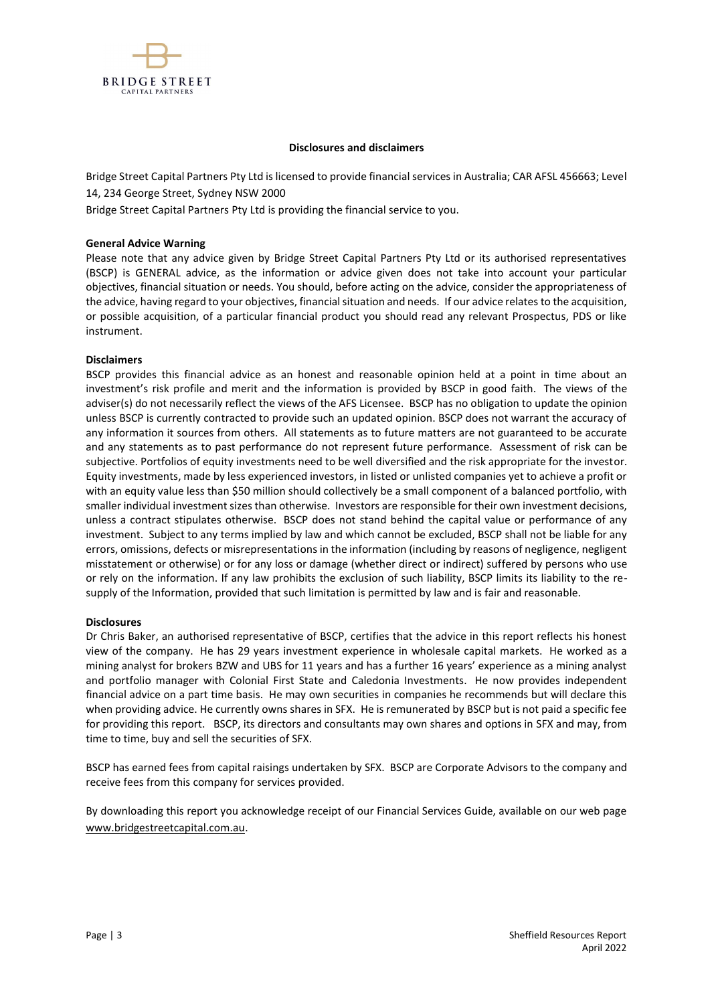

#### **Disclosures and disclaimers**

Bridge Street Capital Partners Pty Ltd is licensed to provide financial services in Australia; CAR AFSL 456663; Level 14, 234 George Street, Sydney NSW 2000

Bridge Street Capital Partners Pty Ltd is providing the financial service to you.

#### **General Advice Warning**

Please note that any advice given by Bridge Street Capital Partners Pty Ltd or its authorised representatives (BSCP) is GENERAL advice, as the information or advice given does not take into account your particular objectives, financial situation or needs. You should, before acting on the advice, consider the appropriateness of the advice, having regard to your objectives, financial situation and needs. If our advice relates to the acquisition, or possible acquisition, of a particular financial product you should read any relevant Prospectus, PDS or like instrument.

#### **Disclaimers**

BSCP provides this financial advice as an honest and reasonable opinion held at a point in time about an investment's risk profile and merit and the information is provided by BSCP in good faith. The views of the adviser(s) do not necessarily reflect the views of the AFS Licensee. BSCP has no obligation to update the opinion unless BSCP is currently contracted to provide such an updated opinion. BSCP does not warrant the accuracy of any information it sources from others. All statements as to future matters are not guaranteed to be accurate and any statements as to past performance do not represent future performance. Assessment of risk can be subjective. Portfolios of equity investments need to be well diversified and the risk appropriate for the investor. Equity investments, made by less experienced investors, in listed or unlisted companies yet to achieve a profit or with an equity value less than \$50 million should collectively be a small component of a balanced portfolio, with smaller individual investment sizes than otherwise. Investors are responsible for their own investment decisions, unless a contract stipulates otherwise. BSCP does not stand behind the capital value or performance of any investment. Subject to any terms implied by law and which cannot be excluded, BSCP shall not be liable for any errors, omissions, defects or misrepresentations in the information (including by reasons of negligence, negligent misstatement or otherwise) or for any loss or damage (whether direct or indirect) suffered by persons who use or rely on the information. If any law prohibits the exclusion of such liability, BSCP limits its liability to the resupply of the Information, provided that such limitation is permitted by law and is fair and reasonable.

### **Disclosures**

Dr Chris Baker, an authorised representative of BSCP, certifies that the advice in this report reflects his honest view of the company. He has 29 years investment experience in wholesale capital markets. He worked as a mining analyst for brokers BZW and UBS for 11 years and has a further 16 years' experience as a mining analyst and portfolio manager with Colonial First State and Caledonia Investments. He now provides independent financial advice on a part time basis. He may own securities in companies he recommends but will declare this when providing advice. He currently owns shares in SFX. He is remunerated by BSCP but is not paid a specific fee for providing this report. BSCP, its directors and consultants may own shares and options in SFX and may, from time to time, buy and sell the securities of SFX.

BSCP has earned fees from capital raisings undertaken by SFX. BSCP are Corporate Advisors to the company and receive fees from this company for services provided.

By downloading this report you acknowledge receipt of our Financial Services Guide, available on our web page [www.bridgestreetcapital.com.au.](http://www.bridgestreetcapital.com.au/)